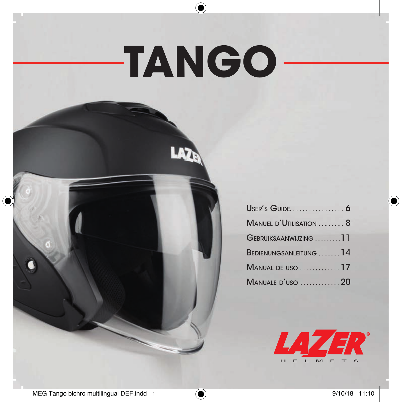# **TANGO**

LAZE

 $\bigoplus$ 

| USER'S GUIDE 6          |  |
|-------------------------|--|
| MANUEL D'UTILISATION  8 |  |
| GEBRUIKSAANWIJZING 11   |  |
| BEDIENUNGSANLEITUNG 14  |  |
| <b>MANUAL DE USO 17</b> |  |
| MANUALE D'USO 20        |  |



⊕

 $\bigoplus$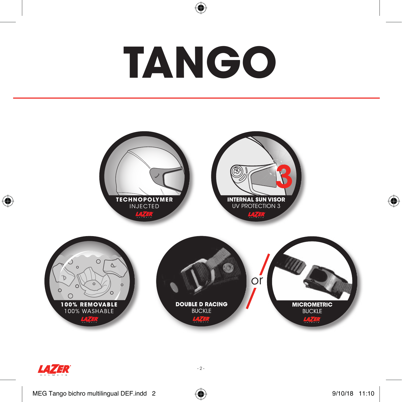

◈





 $\bigoplus$ 



 $-2 -$ 

 $\bigoplus$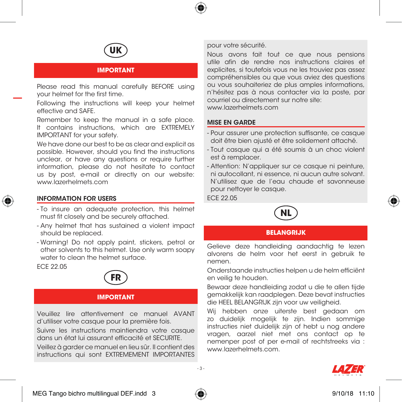



#### **IMPORTANT**

Please read this manual carefully BEFORE using your helmet for the first time.

Following the instructions will keep your helmet effective and SAFE.

Remember to keep the manual in a safe place. It contains instructions, which are EXTREMELY IMPORTANT for your safety.

We have done our best to be as clear and explicit as possible. However, should you find the instructions unclear, or have any questions or require further information, please do not hesitate to contact us by post, e-mail or directly on our website: www.lazerhelmets.com



#### INFORMATION FOR USERS

- To insure an adequate protection, this helmet must fit closely and be securely attached.
- Any helmet that has sustained a violent impact should be replaced.
- Warning! Do not apply paint, stickers, petrol or other solvents to this helmet. Use only warm soapy water to clean the helmet surface.

ECE 22.05



## **IMPORTANT**

Veuillez lire attentivement ce manuel AVANT d'utiliser votre casque pour la première fois.

Suivre les instructions maintiendra votre casque dans un état lui assurant efficacité et SECURITE.

Veillez à garder ce manuel en lieu sûr. Il contient des instructions qui sont EXTREMEMENT IMPORTANTES

#### pour votre sécurité.

Nous avons fait tout ce que nous pensions utile afin de rendre nos instructions claires et explicites, si toutefois vous ne les trouviez pas assez compréhensibles ou que vous aviez des questions ou vous souhaiteriez de plus amples informations, n'hésitez pas à nous contacter via la poste, par courriel ou directement sur notre site: www.lazerhelmets.com

#### MISE EN GARDE

- Pour assurer une protection suffisante, ce casque doit être bien ajusté et être solidement attaché.
- Tout casque qui a été soumis à un choc violent est à remplacer.
- Attention: N'appliquer sur ce casque ni peinture, ni autocollant, ni essence, ni aucun autre solvant. N'utilisez que de l'eau chaude et savonneuse pour nettoyer le casque.

ECE 22.05



## **BELANGRIJK**

Gelieve deze handleiding aandachtig te lezen alvorens de helm voor het eerst in gebruik te nemen.

Onderstaande instructies helpen u de helm efficiënt en veilig te houden.

Bewaar deze handleiding zodat u die te allen tijde gemakkelijk kan raadplegen. Deze bevat instructies die HEEL BELANGRIJK zijn voor uw veiligheid.

Wij hebben onze uiterste best gedaan om zo duidelijk mogelijk te zijn. Indien sommige instructies niet duidelijk zijn of hebt u nog andere vragen, aarzel niet met ons contact op te nemenper post of per e-mail of rechtstreeks via : www.lazerhelmets.com.





 $\sim$  3

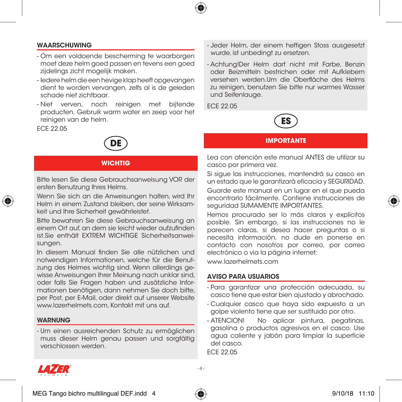

## WAARSCHUWING

- Om een voldoende bescherming te waarborgen moet deze helm goed passen en tevens een goed zijdelings zicht mogelijk maken.
- Iedere helm die een hevige klap heeft opgevangen dient te worden vervangen, zelfs al is de geleden schade niet zichtbaar.
- Niet verven, noch reinigen met bijtende producten. Gebruik warm water en zeep voor het reinigen van de helm.

ECE 22.05



## **WICHTIG**

Bitte lesen Sie diese Gebrauchsanweisung VOR der ersten Benutzung Ihres Helms.



Wenn Sie sich an die Anweisungen halten, wird Ihr Helm in einem Zustand bleiben, der seine Wirksamkeit und Ihre Sicherheit gewährleistet.

Bitte bewahren Sie diese Gebrauchsanweisung an einem Ort auf, an dem sie leicht wieder aufzufinden ist.Sie enthält EXTREM WICHTIGE Sicherheitsanweisungen.

In diesem Manual finden Sie alle nützlichen und notwendigen Informationen, welche für die Benutzung des Helmes wichtig sind. Wenn allerdings gewisse Anweisungen Ihrer Meinung nach unklar sind, oder falls Sie Fragen haben und zusätzliche Informationen benötigen, dann nehmen Sie doch bitte, per Post, per E-Mail, oder direkt auf unserer Website www.lazerhelmets.com, Kontakt mit uns auf.

## WARNUNG

- Um einen ausreichenden Schutz zu ermöglichen muss dieser Helm genau passen und sorgfältig verschlossen werden.

- Jeder Helm, der einem heftigen Stoss ausgesetzt wurde, ist unbedingt zu ersetzen.
- Achtung!Der Helm darf nicht mit Farbe, Benzin oder Beizmitteln bestrichen oder mit Aufklebern versehen werden.Um die Oberfläche des Helms zu reinigen, benutzen Sie bitte nur warmes Wasser und Seifenlauge.

ECE 22.05



#### **IMPORTANTE**

Lea con atención este manual ANTES de utilizar su casco por primera vez.

Si sigue las instrucciones, mantendrá su casco en un estado que le garantizará eficacia y SEGURIDAD.

Guarde este manual en un lugar en el que pueda encontrarlo fácilmente. Contiene instrucciones de seguridad SUMAMENTE IMPORTANTES.

Hemos procurado ser lo más claros y explícitos posible. Sin embargo, si las instrucciones no le parecen claras, si desea hacer preguntas o si necesita información, no dude en ponerse en contacto con nosotros por correo, por correo electrónico o via la página internet:

www.lazerhelmets.com

#### AVISO PARA USUARIOS

- Para garantizar una protección adecuada, su casco tiene que estar bien ajustado y abrochado.
- Cualquier casco que haya sido expuesto a un golpe violento tiene que ser sustituido por otro.
- ATENCION! No aplicar pintura, pegatinas, gasolina o productos agresivos en el casco. Use agua caliente y jabón para limpiar la superficie del casco.

ECE 22.05





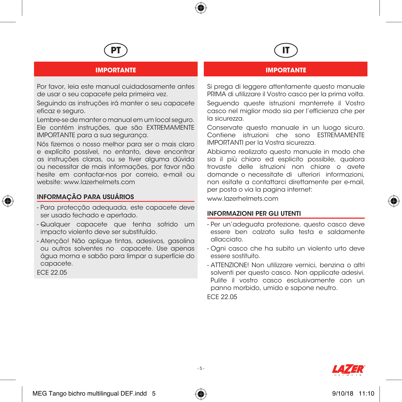



## **IMPORTANTE**

Por favor, leia este manual cuidadosamente antes de usar o seu capacete pela primeira vez.

Seguindo as instruções irá manter o seu capacete eficaz e seguro.

Lembre-se de manter o manual em um local seguro. Ele contém instruções, que são EXTREMAMENTE IMPORTANTE para a sua segurança.

Nós fizemos o nosso melhor para ser o mais claro e explícito possível, no entanto, deve encontrar as instruções claras, ou se tiver alguma dúvida ou necessitar de mais informações, por favor não hesite em contactar-nos por correio, e-mail ou website: www.lazerhelmets.com

## INFORMAÇÃO PARA USUÁRIOS

- Para protecção adequada, este capacete deve ser usado fechado e apertado.
- Qualquer capacete que tenha sofrido um impacto violento deve ser substituído.
- Atenção! Não aplique tintas, adesivos, gasolina ou outros solventes no capacete. Use apenas água morna e sabão para limpar a superfície do capacete.

ECE 22.05

# **IT IMPORTANTE**

Si prega di leggere attentamente questo manuale PRIMA di utilizzare il Vostro casco per la prima volta.

Seguendo queste istruzioni manterrete il Vostro casco nel miglior modo sia per l'efficienza che per la sicurezza.

Conservate questo manuale in un luogo sicuro. Contiene istruzioni che sono ESTREMAMENTE IMPORTANTI per la Vostra sicurezza.

Abbiamo realizzato questo manuale in modo che sia il più chiaro ed esplicito possibile, qualora trovaste delle istruzioni non chiare o avete domande o necessitate di ulteriori informazioni, non esitate a contattarci direttamente per e-mail, per posta o via la pagina internet:

www.lazerhelmets.com

## INFORMAZIONI PER GLI UTENTI

- Per un'adeguata protezione, questo casco deve essere ben calzato sulla testa e saldamente allacciato.
- Ogni casco che ha subito un violento urto deve essere sostituito.
- ATTENZIONE! Non utilizzare vernici, benzina o altri solventi per questo casco. Non applicate adesivi. Pulite il vostro casco esclusivamente con un panno morbido, umido e sapone neutro. ECE 22.05





 $-$  5  $-$ 

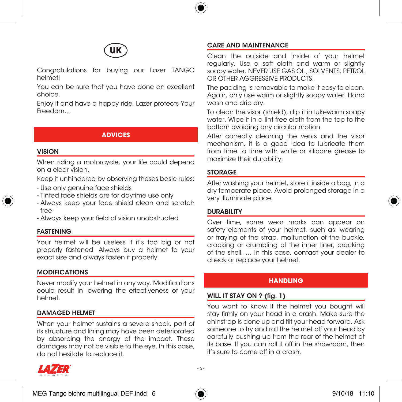



Congratulations for buying our Lazer TANGO helmet!

You can be sure that you have done an excellent choice.

Enjoy it and have a happy ride, Lazer protects Your Freedom...

#### **ADVICES**

## VISION

When riding a motorcycle, your life could depend on a clear vision.

Keep it unhindered by observing theses basic rules:

- Use only genuine face shields
- Tinted face shields are for daytime use only
- Always keep your face shield clean and scratch free
- Always keep your field of vision unobstructed

#### FASTENING

Your helmet will be useless if it's too big or not properly fastened. Always buy a helmet to your exact size and always fasten it properly.

#### MODIFICATIONS

Never modify your helmet in any way. Modifications could result in lowering the effectiveness of your helmet.

#### DAMAGED HELMET

When your helmet sustains a severe shock, part of its structure and lining may have been deteriorated by absorbing the energy of the impact. These damages may not be visible to the eye. In this case, do not hesitate to replace it.



## CARE AND MAINTENANCE

Clean the outside and inside of your helmet regularly. Use a soft cloth and warm or slightly soapy water. NEVER USE GAS OIL, SOLVENTS, PETROL OR OTHER AGGRESSIVE PRODUCTS.

The padding is removable to make it easy to clean. Again, only use warm or slightly soapy water. Hand wash and drip dry.

To clean the visor (shield), dip it in lukewarm soapy water. Wipe it in a lint free cloth from the top to the bottom avoiding any circular motion.

After correctly cleaning the vents and the visor mechanism, it is a good idea to lubricate them from time to time with white or silicone grease to maximize their durability.

## STORAGE

After washing your helmet, store it inside a bag, in a dry temperate place. Avoid prolonged storage in a very illuminate place.



## **DURABILITY**

Over time, some wear marks can appear on safety elements of your helmet, such as: wearing or fraying of the strap, malfunction of the buckle, cracking or crumbling of the inner liner, cracking of the shell, … In this case, contact your dealer to check or replace your helmet.

#### **HANDLING**

#### WILL IT STAY ON ? (fig. 1)

You want to know If the helmet you bought will stay firmly on your head in a crash. Make sure the chinstrap is done up and tilt your head forward. Ask someone to try and roll the helmet off your head by carefully pushing up from the rear of the helmet at its base. If you can roll it off in the showroom, then it's sure to come off in a crash.

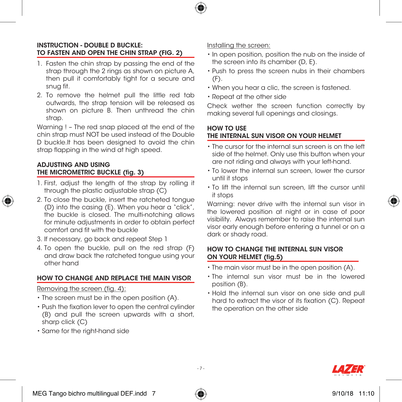

## INSTRUCTION - DOUBLE D BUCKLE: TO FASTEN AND OPEN THE CHIN STRAP (FIG. 2)

- 1. Fasten the chin strap by passing the end of the strap through the 2 rings as shown on picture A. then pull it comfortably tight for a secure and snug fit.
- 2. To remove the helmet pull the little red tab outwards, the strap tension will be released as shown on picture B. Then unthread the chin strap.

Warning ! – The red snap placed at the end of the chin strap must NOT be used instead of the Double D buckle.It has been designed to avoid the chin strap flapping in the wind at high speed.

## ADJUSTING AND USING THE MICROMETRIC BUCKLE (fig. 3)

- 1. First, adjust the length of the strap by rolling it through the plastic adjustable strap (C)
- 2. To close the buckle, insert the ratcheted tongue (D) into the casing (E). When you hear a "click", the buckle is closed. The multi-notching allows for minute adjustments in order to obtain perfect comfort and fit with the buckle
- 3. If necessary, go back and repeat Step 1
- 4. To open the buckle, pull on the red strap (F) and draw back the ratcheted tongue using your other hand

## HOW TO CHANGE AND REPLACE THE MAIN VISOR

## Removing the screen (fig. 4):

- The screen must be in the open position (A).
- Push the fixation lever to open the central cylinder (B) and pull the screen upwards with a short, sharp click (C)
- Same for the right-hand side

## Installing the screen:

- In open position, position the nub on the inside of the screen into its chamber (D, E).
- Push to press the screen nubs in their chambers (F).
- When you hear a clic, the screen is fastened.
- Repeat at the other side

Check wether the screen function correctly by making several full openings and closings.

## HOW TO USE THE INTERNAL SUN VISOR ON YOUR HELMET

- The cursor for the internal sun screen is on the left side of the helmet. Only use this button when your are not riding and always with your left-hand.
- To lower the internal sun screen, lower the cursor until it stops
- To lift the internal sun screen, lift the cursor until it stops

Warning: never drive with the internal sun visor in the lowered position at night or in case of poor visibility. Always remember to raise the internal sun visor early enough before entering a tunnel or on a dark or shady road.

## HOW TO CHANGE THE INTERNAL SUN VISOR ON YOUR HELMET (fig.5)

- The main visor must be in the open position (A).
- The internal sun visor must be in the lowered position (B).
- Hold the internal sun visor on one side and pull hard to extract the visor of its fixation (C). Repeat the operation on the other side





- 7 -

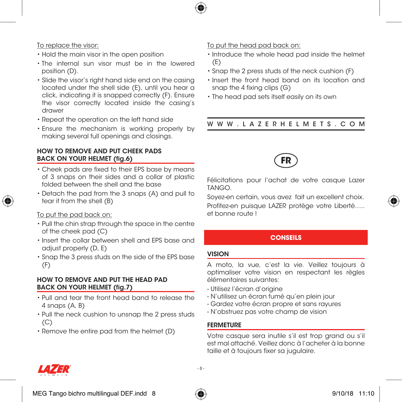

## To replace the visor:

- Hold the main visor in the open position
- The internal sun visor must be in the lowered position (D).
- Slide the visor's right hand side end on the casing located under the shell side (E), until you hear a click, indicating it is snapped correctly (F). Ensure the visor correctly located inside the casing's drawer
- Repeat the operation on the left hand side
- Ensure the mechanism is working properly by making several full openings and closings.

## HOW TO REMOVE AND PUT CHEEK PADS BACK ON YOUR HELMET (fig.6)

- Cheek pads are fixed to their EPS base by means of 3 snaps on their sides and a collar of plastic folded between the shell and the base
- Detach the pad from the 3 snaps (A) and pull to tear it from the shell (B)

## To put the pad back on:

- Pull the chin strap through the space in the centre of the cheek pad (C)
- Insert the collar between shell and EPS base and adjust properly (D, E)
- Snap the 3 press studs on the side of the EPS base (F)

## HOW TO REMOVE AND PUT THE HEAD PAD BACK ON YOUR HELMET (fig.7)

- Pull and tear the front head band to release the 4 snaps (A, B)
- Pull the neck cushion to unsnap the 2 press studs  $(C)$
- Remove the entire pad from the helmet (D)

## To put the head pad back on:

- Introduce the whole head pad inside the helmet (E)
- Snap the 2 press studs of the neck cushion (F)
- Insert the front head band on its location and snap the 4 fixing clips (G)
- The head pad sets itself easily on its own

## WWW.LAZERHELMETS.COM



Félicitations pour l'achat de votre casque Lazer TANGO.

Soyez-en certain, vous avez fait un excellent choix. Profitez-en puisque LAZER protège votre Liberté….. et bonne route !

## **CONSEILS**

## VISION

A moto, la vue, c'est la vie. Veillez toujours à optimaliser votre vision en respectant les règles élémentaires suivantes:

- Utilisez l'écran d'origine
- N'utilisez un écran fumé qu'en plein jour
- Gardez votre écran propre et sans rayures
- N'obstruez pas votre champ de vision

## FERMETURE

Votre casque sera inutile s'il est trop grand ou s'il est mal attaché. Veillez donc à l'acheter à la bonne taille et à toujours fixer sa jugulaire.



MEG Tango bichro multilingual DEF.indd 8  $\overbrace{4}$   $\overbrace{4}$  9/10/18 11:10



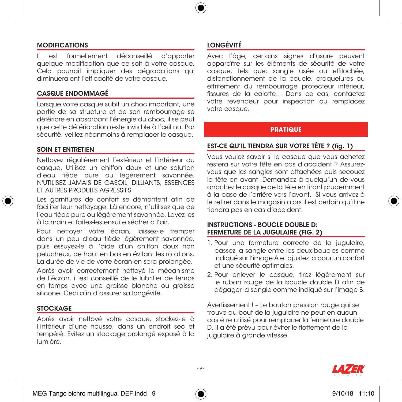

## MODIFICATIONS

Il est formellement déconseillé d'apporter quelque modification que ce soit à votre casque. Cela pourrait impliquer des dégradations qui diminueraient l'efficacité de votre casque.

## CASQUE ENDOMMAGÉ

Lorsque votre casque subit un choc important, une partie de sa structure et de son rembourrage se détériore en absorbant l'énergie du choc; il se peut que cette détérioration reste invisible à l'œil nu. Par sécurité, veillez néanmoins à remplacer le casque.

## SOIN ET ENTRETIEN

Nettoyez régulièrement l'extérieur et l'intérieur du casque. Utilisez un chiffon doux et une solution d'eau tiède pure ou légèrement savonnée. N'UTILISEZ JAMAIS DE GASOIL, DILUANTS, ESSENCES ET AUTRES PRODUITS AGRESSIFS.



Les garnitures de confort se démontent afin de faciliter leur nettoyage. Là encore, n'utilisez que de l'eau tiède pure ou légèrement savonnée. Lavez-les à la main et faites-les ensuite sécher à l'air.

Pour nettoyer votre écran, laissez-le tremper dans un peu d'eau tiède légèrement savonnée, puis essuyez-le à l'aide d'un chiffon doux non pelucheux, de haut en bas en évitant les rotations. La durée de vie de votre écran en sera prolongée.

Après avoir correctement nettoyé le mécanisme de l'écran, il est conseillé de le lubrifier de temps en temps avec une graisse blanche ou graisse silicone. Ceci afin d'assurer sa longévité.

## **STOCKAGE**

Après avoir nettoyé votre casque, stockez-le à l'intérieur d'une housse, dans un endroit sec et tempéré. Evitez un stockage prolongé exposé à la lumière.

## LONGÉVITÉ

Avec l'âge, certains signes d'usure peuvent apparaître sur les éléments de sécurité de votre casque, tels que: sangle usée ou effilochée, disfonctionnement de la boucle, craquelures ou effritement du rembourrage protecteur intérieur, fissures de la calotte… Dans ce cas, contactez votre revendeur pour inspection ou remplacez votre casque.

#### **PRATIQUE**

## EST-CE QU'IL TIENDRA SUR VOTRE TÊTE ? (fig. 1)

Vous voulez savoir si le casque que vous achetez restera sur votre tête en cas d'accident ? Assurezvous que les sangles sont attachées puis secouez la tête en avant. Demandez à quelqu'un de vous arrachez le casque de la tête en tirant prudemment à la base de l'arrière vers l'avant. Si vous arrivez à le retirer dans le magasin alors il est certain qu'il ne tiendra pas en cas d'accident.

## INSTRUCTIONS - BOUCLE DOUBLE D: FERMETURE DE LA JUGULAIRE (FIG. 2)

- 1. Pour une fermeture correcte de la jugulaire, passez la sangle entre les deux boucles comme indiqué sur l'image A et ajustez la pour un confort et une sécurité optimales.
- 2. Pour enlever le casque, tirez légèrement sur le ruban rouge de la boucle double D afin de dégager la sangle comme indiqué sur l'image B.

Avertissement ! – Le bouton pression rouge qui se trouve au bout de la jugulaire ne peut en aucun cas être utilisé pour remplacer la fermeture double D. Il a été prévu pour éviter le flottement de la jugulaire à grande vitesse.



 $\sim$ 

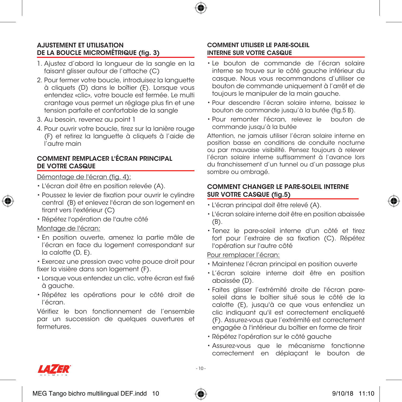

## AJUSTEMENT ET UTILISATION DE LA BOUCLE MICROMÉTRIQUE (fig. 3)

- 1. Ajustez d'abord la longueur de la sangle en la faisant alisser autour de l'attache (C)
- 2. Pour fermer votre boucle, introduisez la languette à cliquets (D) dans le boîtier (E). Lorsque vous entendez «clic», votre boucle est fermée. Le multi crantage vous permet un réglage plus fin et une tension parfaite et confortable de la sangle
- 3. Au besoin, revenez au point 1
- 4. Pour ouvrir votre boucle, tirez sur la lanière rouge (F) et retirez la languette à cliquets à l'aide de l'autre main

## COMMENT REMPLACER L'ÉCRAN PRINCIPAL DE VOTRE CASQUE

## Démontage de l'écran (fig. 4):

- L'écran doit être en position relevée (A).
- Poussez le levier de fixation pour ouvrir le cylindre central (B) et enlevez l'écran de son logement en tirant vers l'extérieur (C)
- Répétez l'opération de l'autre côté

## Montage de l'écran:

- En position ouverte, amenez la partie mâle de l'écran en face du logement correspondant sur la calotte (D, E).
- Exercez une pression avec votre pouce droit pour fixer la visière dans son logement (F).
- Lorsque vous entendez un clic, votre écran est fixé à gauche.
- Répétez les opérations pour le côté droit de l'écran.

Vérifiez le bon fonctionnement de l'ensemble par un succession de quelques ouvertures et fermetures.

## COMMENT UTILISER LE PARE-SOLEIL INTERNE SUR VOTRE CASQUE

- Le bouton de commande de l'écran solaire interne se trouve sur le côté gauche inférieur du casque. Nous vous recommandons d'utiliser ce bouton de commande uniquement à l'arrêt et de toujours le manipuler de la main gauche.
- Pour descendre l'écran solaire interne, baissez le bouton de commande jusqu'à la butée (fig.5 B).
- Pour remonter l'écran, relevez le bouton de commande jusqu'à la butée

Attention, ne jamais utiliser l'écran solaire interne en position basse en conditions de conduite nocturne ou par mauvaise visibilité. Pensez toujours à relever l'écran solaire interne suffisamment à l'avance lors du franchissement d'un tunnel ou d'un passage plus sombre ou ombragé.

## COMMENT CHANGER LE PARE-SOLEIL INTERNE SUR VOTRE CASQUE (fig.5)

• L'écran principal doit être relevé (A).

- 
- L'écran solaire interne doit être en position abaissée (B).
- Tenez le pare-soleil interne d'un côté et tirez fort pour l'extraire de sa fixation (C). Répétez l'opération sur l'autre côté

## Pour remplacer l'écran:

- Maintenez l'écran principal en position ouverte
- L'écran solaire interne doit être en position abaissée (D).
- Faites glisser l'extrémité droite de l'écran paresoleil dans le boîtier situé sous le côté de la calotte (E), jusqu'à ce que vous entendiez un clic indiquant qu'il est correctement encliqueté (F). Assurez-vous que l'extrémité est correctement engagée à l'intérieur du boîtier en forme de tiroir
- Répétez l'opération sur le côté gauche
- Assurez-vous que le mécanisme fonctionne correctement en déplaçant le bouton de

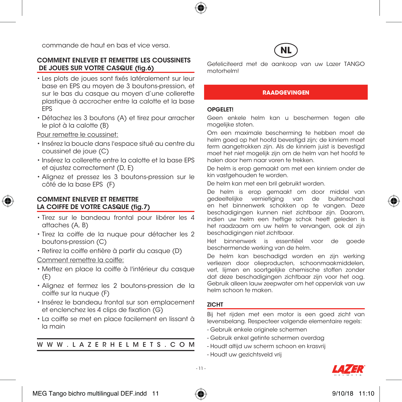commande de haut en bas et vice versa.

## COMMENT ENLEVER ET REMETTRE LES COUSSINETS DE JOUES SUR VOTRE CASQUE (fig.6)

- Les plots de joues sont fixés latéralement sur leur base en EPS au moyen de 3 boutons-pression, et sur le bas du casque au moyen d'une collerette plastique à accrocher entre la calotte et la base EPS
- Détachez les 3 boutons (A) et tirez pour arracher le plot à la calotte (B)

Pour remettre le coussinet:

- Insérez la boucle dans l'espace situé au centre du coussinet de joue (C)
- Insérez la collerette entre la calotte et la base EPS et ajustez correctement (D, E)
- Alignez et pressez les 3 boutons-pression sur le côté de la base EPS (F)

## COMMENT ENLEVER ET REMETTRE LA COIFFE DE VOTRE CASQUE (fig.7)

- Tirez sur le bandeau frontal pour libérer les 4 attaches (A, B)
- Tirez la coiffe de la nuque pour détacher les 2 boutons-pression (C)
- Retirez la coiffe entière à partir du casque (D)

Comment remettre la coiffe:

- Mettez en place la coiffe à l'intérieur du casque (E)
- Alignez et fermez les 2 boutons-pression de la coiffe sur la nuque (F)
- Insérez le bandeau frontal sur son emplacement et enclenchez les 4 clips de fixation (G)
- La coiffe se met en place facilement en lissant à la main

WWW.LAZERHELMETS.COM

Gefeliciteerd met de aankoop van uw Lazer TANGO motorhelm!

#### **RAADGEVINGEN**

#### OPGELET!

Geen enkele helm kan u beschermen tegen alle mogelijke stoten.

Om een maximale bescherming te hebben moet de helm goed op het hoofd bevestigd zijn; de kinriem moet ferm aangetrokken zijn. Als de kinriem juist is bevestigd moet het niet mogelijk zijn om de helm van het hoofd te halen door hem naar voren te trekken.

De helm is erop gemaakt om met een kinriem onder de kin vastgehouden te worden.

De helm kan met een bril gebruikt worden.

De helm is erop gemaakt om door middel van gedeeltelijke vernietiging van de buitenschaal en het binnenwerk schokken op te vangen. Deze beschadigingen kunnen niet zichtbaar zijn. Daarom, indien uw helm een heftige schok heeft geleden is het raadzaam om uw helm te vervangen, ook al zijn beschadigingen niet zichtbaar.

Het binnenwerk is essentiëel voor de goede beschermende werking van de helm.

De helm kan beschadigd worden en zijn werking verliezen door olieproducten, schoonmaakmiddelen, verf, lijmen en soortgelijke chemische stoffen zonder dat deze beschadigingen zichtbaar zijn voor het oog. Gebruik alleen lauw zeepwater om het oppervlak van uw helm schoon te maken.

#### ZICHT

Bij het rijden met een motor is een goed zicht van levensbelang. Respecteer volgende elementaire regels:

- Gebruik enkele originele schermen
- Gebruik enkel getinte schermen overdag
- Houdt altijd uw scherm schoon en krasvrij
- Houdt uw gezichtsveld vrij

- 11 -



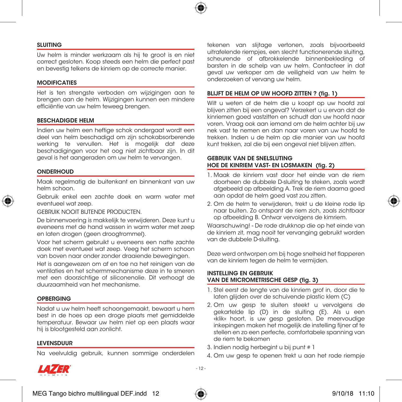

#### SLUITING

Uw helm is minder werkzaam als hij te groot is en niet correct gesloten. Koop steeds een helm die perfect past en bevestig telkens de kinriem op de correcte manier.

#### MODIFICATIES

Het is ten strengste verboden om wijzigingen aan te brengen aan de helm. Wijzigingen kunnen een mindere efficiëntie van uw helm teweeg brengen.

#### BESCHADIGDE HELM

Indien uw helm een heftige schok ondergaat wordt een deel van helm beschadigd om zijn schokabsorberende werking te vervullen. Het is mogelijk dat deze beschadigingen voor het oog niet zichtbaar zijn. In dit geval is het aangeraden om uw helm te vervangen.

#### ONDERHOUD

Maak regelmatig de buitenkant en binnenkant van uw helm schoon.

Gebruik enkel een zachte doek en warm water met eventueel wat zeep.

GEBRUIK NOOIT BIJTENDE PRODUCTEN.

De binnenvoering is makkelijk te verwijderen. Deze kunt u eveneens met de hand wassen in warm water met zeep en laten drogen (geen droogtrommel).

Voor het scherm gebruikt u eveneens een natte zachte doek met eventueel wat zeep. Veeg het scherm schoon van boven naar onder zonder draaiende bewegingen.

Het is aangewezen om af en toe na het reinigen van de ventilaties en het schermmechanisme deze in te smeren met een doorzichtige of siliconenolie. Dit verhoogt de duurzaamheid van het mechanisme.

#### OPBERGING

Nadat u uw helm heeft schoongemaakt, bewaart u hem best in de hoes op een droge plaats met gemiddelde temperatuur. Bewaar uw helm niet op een plaats waar hij is blootgesteld aan zonlicht.

#### LEVENSDUUR

Na veelvuldig gebruik, kunnen sommige onderdelen

tekenen van slijtage vertonen, zoals bijvoorbeeld uitrafelende riempjes, een slecht functionerende sluiting, scheurende of afbrokkelende binnenbekleding of barsten in de schelp van uw helm. Contacteer in dat geval uw verkoper om de veiligheid van uw helm te onderzoeken of vervang uw helm.

#### BLIJFT DE HELM OP UW HOOFD ZITTEN ? (fig. 1)

Wilt u weten of de helm die u koopt op uw hoofd zal blijven zitten bij een ongeval? Verzekert u u ervan dat de kinriemen goed vastzitten en schudt dan uw hoofd naar voren. Vraag ook aan iemand om de helm achter bij uw nek vast te nemen en dan naar voren van uw hoofd te trekken. Indien u de helm op die manier van uw hoofd kunt trekken, zal die bij een ongeval niet blijven zitten.

#### GEBRUIK VAN DE SNELSLUTING HOE DE KINRIEM VAST- EN LOSMAKEN (fig. 2)

- 1. Maak de kinriem vast door het einde van de riem doorheen de dubbele D-sluiting te steken, zoals wordt afgebeeld op afbeelding A. Trek de riem daarna goed aan opdat de helm goed vast zou zitten.
- 2. Om de helm te verwijderen, trekt u de kleine rode lip naar buiten. Zo ontspant de riem zich, zoals zichtbaar op afbeelding B. Ontwar vervolgens de kimriem.

Waarschuwing! - De rode drukknop die op het einde van de kinriem zit, mag nooit ter vervanging gebruikt worden van de dubbele D-sluiting.

Deze werd ontworpen om bij hoge snelheid het flapperen van de kinriem tegen de helm te vermijden.

#### INSTELLING EN GEBRUIK VAN DE MICROMETRISCHE GESP (fig. 3)

- 1. Stel eerst de lengte van de kinriem grof in, door die te laten alijden over de schuivende plastic klem (C)
- 2. Om uw gesp te sluiten steekt u vervolgens de gekartelde lip (D) in de sluiting (E). Als u een «klik» hoort, is uw gesp gesloten. De meervoudige inkepingen maken het mogelijk de instelling fijner af te stellen en zo een perfecte, comfortabele spanning van de riem te bekomen
- 3. Indien nodig herbegint u bij punt # 1
- 4. Om uw gesp te openen trekt u aan het rode riempje



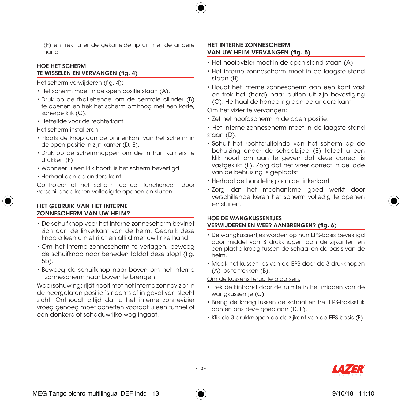

(F) en trekt u er de gekartelde lip uit met de andere hand

#### HOE HET SCHERM TE WISSELEN EN VERVANGEN (fig. 4)

## Het scherm verwijderen (fig. 4):

- Het scherm moet in de open positie staan (A).
- Druk op de fixatiehendel om de centrale cilinder (B) te openen en trek het scherm omhoog met een korte, scherpe klik (C).
- Hetzelfde voor de rechterkant.

#### Het scherm installeren:

- Plaats de knop aan de binnenkant van het scherm in de open positie in zijn kamer (D, E).
- Druk op de schermnoppen om die in hun kamers te drukken (F).
- Wanneer u een klik hoort, is het scherm bevestigd.
- Herhaal aan de andere kant

Controleer of het scherm correct functioneert door verschillende keren volledig te openen en sluiten.

## HET GEBRUIK VAN HET INTERNE ZONNESCHERM VAN UW HELM?

- De schuifknop voor het interne zonnescherm bevindt zich aan de linkerkant van de helm. Gebruik deze knop alleen u niet rijdt en altijd met uw linkerhand.
- Om het interne zonnescherm te verlagen, beweeg de schuifknop naar beneden totdat deze stopt (fig. 5b).
- Beweeg de schuifknop naar boven om het interne zonnescherm naar boven te brengen.

Waarschuwing: rijdt nooit met het interne zonnevizier in de neergelaten positie 's-nachts of in geval van slecht zicht. Onthoudt altijd dat u het interne zonnevizier vroeg genoeg moet opheffen voordat u een tunnel of een donkere of schaduwrijke weg ingaat.

## HET INTERNE ZONNESCHERM VAN UW HELM VERVANGEN (fig. 5)

- Het hoofdvizier moet in de open stand staan (A).
- Het interne zonnescherm moet in de laagste stand staan (B).
- Houdt het interne zonnescherm aan één kant vast en trek het (hard) naar buiten uit zijn bevestiging (C). Herhaal de handeling aan de andere kant

## Om het vizier te vervangen:

- Zet het hoofdscherm in de open positie.
- Het interne zonnescherm moet in de laagste stand staan (D).
- Schuif het rechteruiteinde van het scherm op de behuizing onder de schaalzijde (E) totdat u een klik hoort om aan te geven dat deze correct is vastgeklikt (F). Zorg dat het vizier correct in de lade van de behuizing is geplaatst.
- Herhaal de handeling aan de linkerkant.
- Zorg dat het mechanisme goed werkt door verschillende keren het scherm volledig te openen en sluiten.

#### HOE DE WANGKUSSENTJES VERWIJDEREN EN WEER AANBRENGEN? (fig. 6)

- De wangkussentjes worden op hun EPS-basis bevestigd door middel van 3 drukknopen aan de zijkanten en een plastic kraag tussen de schaal en de basis van de helm.
- Maak het kussen los van de EPS door de 3 drukknopen (A) los te trekken (B).

Om de kussens terug te plaatsen:

- Trek de kinband door de ruimte in het midden van de wangkussentje (C).
- Breng de kraag tussen de schaal en het EPS-basisstuk aan en pas deze goed aan (D, E).
- Klik de 3 drukknopen op de zijkant van de EPS-basis (F).





- 13 -

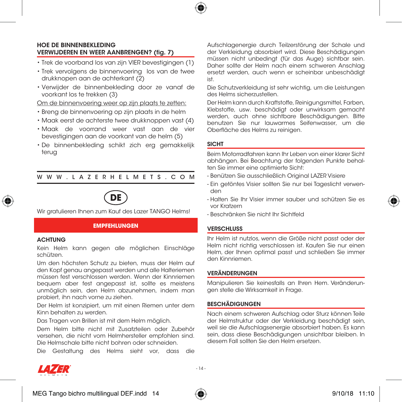

## HOE DE BINNENBEKLEDING VERWIJDEREN EN WEER AANBRENGEN? (fig. 7)

- Trek de voorband los van zijn VIER bevestigingen (1)
- Trek vervolgens de binnenvoering los van de twee drukknopen aan de achterkant (2)
- Verwijder de binnenbekleding door ze vanaf de voorkant los te trekken (3)

#### Om de binnenvoering weer op zijn plaats te zetten:

- Breng de binnenvoering op zijn plaats in de helm
- Maak eerst de achterste twee drukknoppen vast (4)
- Maak de voorrand weer vast aan de vier bevestigingen aan de voorkant van de helm (5)
- De binnenbekleding schikt zich erg gemakkelijk terug

## WWW.LAZERHELMETS.COM



Wir gratulieren Ihnen zum Kauf des Lazer TANGO Helms!

#### **EMPFEHLUNGEN**

#### **ACHTUNG**

Kein Helm kann gegen alle möglichen Einschläge schützen.

Um den höchsten Schutz zu bieten, muss der Helm auf den Kopf genau angepasst werden und alle Halteriemen müssen fest verschlossen werden. Wenn der Kinnriemen bequem aber fest angepasst ist, sollte es meistens unmöglich sein, den Helm abzunehmen, indem man probiert, ihn nach vorne zu ziehen.

Der Helm ist konzipiert, um mit einen Riemen unter dem Kinn behalten zu werden.

Das Tragen von Brillen ist mit dem Helm möglich.

Dem Helm bitte nicht mit Zusatzteilen oder Zubehör versehen, die nicht vom Helmhersteller empfohlen sind. Die Helmschale bitte nicht bohren oder schneiden.

Die Gestaltung des Helms sieht vor, dass die

Aufschlagenergie durch Teilzerstörung der Schale und der Verkleidung absorbiert wird. Diese Beschädigungen müssen nicht unbedingt (für das Auge) sichtbar sein. Daher sollte der Helm nach einem schweren Anschlag ersetzt werden, auch wenn er scheinbar unbeschädigt ist.

Die Schutzverkleidung ist sehr wichtig, um die Leistungen des Helms sicherzustellen.

Der Helm kann durch Kraftstoffe, Reinigungsmittel, Farben, Klebstoffe, usw. beschädigt oder unwirksam gemacht werden, auch ohne sichtbare Beschädigungen. Bitte benutzen Sie nur lauwarmes Seifenwasser, um die Oberfläche des Helms zu reinigen.

#### SICHT

Beim Motorradfahren kann Ihr Leben von einer klarer Sicht abhängen. Bei Beachtung der folgenden Punkte behalten Sie immer eine optimierte Sicht:

- Benützen Sie ausschließlich Original LAZER Visiere
- Ein getöntes Visier sollten Sie nur bei Tageslicht verwenden
- Halten Sie Ihr Visier immer sauber und schützen Sie es vor Kratzern

- Beschränken Sie nicht Ihr Sichtfeld

#### VERSCHLUSS

Ihr Helm ist nutzlos, wenn die Größe nicht passt oder der Helm nicht richtig verschlossen ist. Kaufen Sie nur einen Helm, der Ihnen optimal passt und schließen Sie immer den Kinnriemen.

## **VERÄNDERUNGEN**

Manipulieren Sie keinesfalls an Ihren Hem. Veränderungen stelle die Wirksamkeit in Frage.

#### BESCHÄDIGUNGEN

Nach einem schweren Aufschlag oder Sturz können Teile der Helmstruktur oder der Verkleidung beschädigt sein, weil sie die Aufschlagsenergie absorbiert haben. Es kann sein, dass diese Beschädigungen unsichtbar bleiben. In diesem Fall sollten Sie den Helm ersetzen.



MEG Tango bichro multilingual DEF.indd  $14$   $\overbrace{4}$   $\overbrace{4}$   $\overbrace{2}$   $\overbrace{2}$   $\overbrace{9/10/18}$  11:10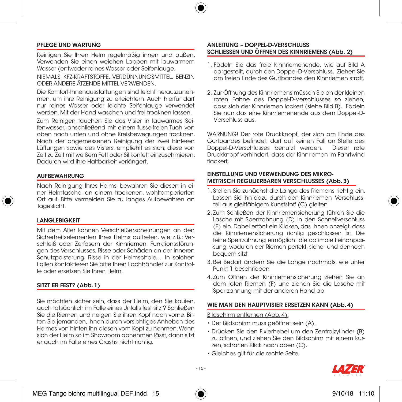

#### PFLEGE UND WARTUNG

Reinigen Sie Ihren Helm regelmäßig innen und außen. Verwenden Sie einen weichen Lappen mit lauwarmem Wasser (entweder reines Wasser oder Seifenlauge.

NIEMALS KFZ-KRAFTSTOFFE, VERDÜNNUNGSMITTEL, BENZIN ODER ANDERE ÄTZENDE MITTEL VERWENDEN.

Die Komfort-Innenausstattungen sind leicht herauszunehmen, um ihre Reinigung zu erleichtern. Auch hierfür darf nur reines Wasser oder leichte Seifenlauge verwendet werden. Mit der Hand waschen und frei trocknen lassen.

Zum Reinigen tauchen Sie das Visier in lauwarmes Seifenwasser; anschließend mit einem fusselfreien Tuch von oben nach unten und ohne Kreisbewegungen trocknen. Nach der angemessenen Reinigung der zwei hinteren Lüftungen sowie des Visiers, empfiehlt es sich, diese von Zeit zu Zeit mit weißem Fett oder Silikonfett einzuschmieren. Dadurch wird ihre Haltbarkeit verlängert.

#### AUFBEWAHRUNG

Nach Reinigung Ihres Helms, bewahren Sie diesen in einer Helmtasche, an einem trockenen, wohltemperierten Ort auf. Bitte vermeiden Sie zu langes Aufbewahren an Tageslicht.

#### LANGLEBIGKEIT

Mit dem Alter können Verschleißerscheinungen an den Sicherheitselementen Ihres Helms auftreten, wie z.B.: Verschleiß oder Zerfasern der Kinnriemen, Funktionsstörungen des Verschlusses, Risse oder Schäden an der inneren Schutzpolsterung, Risse in der Helmschale,... In solchen Fällen kontaktieren Sie bitte Ihren Fachhändler zur Kontrolle oder ersetzen Sie Ihren Helm.

#### SITZT ER FEST? (Abb. 1)

Sie möchten sicher sein, dass der Helm, den Sie kaufen, auch tatsächlich im Falle eines Unfalls fest sitzt? Schließen Sie die Riemen und neigen Sie ihren Kopf nach vorne. Bitten Sie jemanden, Ihnen durch vorsichtiges Anheben des Helmes von hinten ihn diesen vom Kopf zu nehmen. Wenn sich der Helm so im Showroom abnehmen lässt, dann sitzt er auch im Falle eines Crashs nicht richtig.

#### ANLEITUNG – DOPPEL-D-VERSCHLUSS SCHLIESSEN UND ÖFFNEN DES KINNRIEMENS (Abb. 2)

- 1. Fädeln Sie das freie Kinnriemenende, wie auf Bild A dargestellt, durch den Doppel-D-Verschluss. Ziehen Sie am freien Ende des Gurtbandes den Kinnriemen straff.
- 2. Zur Öffnung des Kinnriemens müssen Sie an der kleinen roten Fahne des Doppel-D-Verschlusses so ziehen, dass sich der Kinnriemen lockert (siehe Bild B). Fädeln Sie nun das eine Kinnriemenende aus dem Doppel-D-Verschluss aus.

WARNUNG! Der rote Druckknopf, der sich am Ende des Gurtbandes befindet, darf auf keinen Fall an Stelle des Doppel-D-Verschlusses benutzt werden. Druckknopf verhindert, dass der Kinnriemen im Fahrtwind flackert.

#### EINSTELLUNG UND VERWENDUNG DES MIKRO-METRISCH REGULIERBAREN VERSCHLUSSES (Abb. 3)

- 1. Stellen Sie zunächst die Länge des Riemens richtig ein. Lassen Sie ihn dazu durch den Kinnriemen- Verschlussteil aus gleitfähigem Kunststoff (C) gleiten
- 2. Zum Schließen der Kinnriemensicherung führen Sie die Lasche mit Sperrzahnung (D) in den Schnellverschluss (E) ein. Dabei ertönt ein Klicken, das Ihnen anzeigt, dass die Kinnriemensicherung richtig geschlossen ist. Die feine Sperrzahnung ermöglicht die optimale Feinanpassung, wodurch der Riemen perfekt, sicher und dennoch bequem sitzt
- 3. Bei Bedarf ändern Sie die Länge nochmals, wie unter Punkt 1 beschrieben
- 4. Zum Öffnen der Kinnriemensicherung ziehen Sie an dem roten Riemen (F) und ziehen Sie die Lasche mit Sperrzahnung mit der anderen Hand ab

#### WIE MAN DEN HAUPTVISIER ERSETZEN KANN (Abb. 4)

#### Bildschirm entfernen (Abb. 4):

- Der Bildschirm muss geöffnet sein (A).
- Drücken Sie den Fixierhebel um den Zentralzylinder (B) zu öffnen, und ziehen Sie den Bildschirm mit einem kurzen, scharfen Klick nach oben (C).
- Gleiches gilt für die rechte Seite.







- 15 -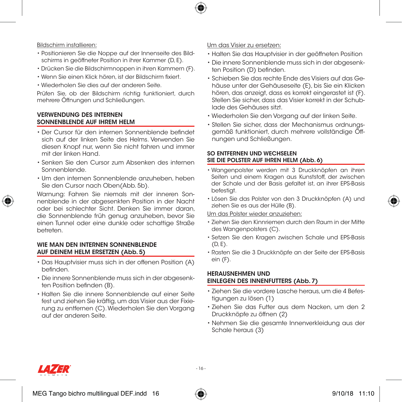

## Bildschirm installieren:

- Positionieren Sie die Noppe auf der Innenseite des Bildschirms in geöffneter Position in ihrer Kammer (D, E).
- Drücken Sie die Bildschirmnoppen in ihren Kammern (F).
- Wenn Sie einen Klick hören, ist der Bildschirm fixiert.
- Wiederholen Sie dies auf der anderen Seite.

Prüfen Sie, ob der Bildschirm richtig funktioniert, durch mehrere Öffnungen und Schließungen.

## VERWENDUNG DES INTERNEN SONNENBLENDE AUF IHREM HELM

- Der Cursor für den internen Sonnenblende befindet sich auf der linken Seite des Helms. Verwenden Sie diesen Knopf nur, wenn Sie nicht fahren und immer mit der linken Hand.
- Senken Sie den Cursor zum Absenken des internen Sonnenblende.
- Um den internen Sonnenblende anzuheben, heben Sie den Cursor nach Oben(Abb. 5b).

Warnung: Fahren Sie niemals mit der inneren Sonnenblende in der abgesenkten Position in der Nacht oder bei schlechter Sicht. Denken Sie immer daran, die Sonnenblende früh genug anzuheben, bevor Sie einen Tunnel oder eine dunkle oder schattige Straße betreten.

## WIE MAN DEN INTERNEN SONNENRI ENDE AUF DEINEM HELM ERSETZEN (Abb. 5)

- Das Hauptvisier muss sich in der offenen Position (A) befinden.
- Die innere Sonnenblende muss sich in der abgesenkten Position befinden (B).
- Halten Sie die innere Sonnenblende auf einer Seite fest und ziehen Sie kräftig, um das Visier aus der Fixierung zu entfernen (C). Wiederholen Sie den Vorgang auf der anderen Seite.

## Um das Visier zu ersetzen:

- Halten Sie das Hauptvisier in der geöffneten Position
- Die innere Sonnenblende muss sich in der abgesenkten Position (D) befinden.
- Schieben Sie das rechte Ende des Visiers auf das Gehäuse unter der Gehäuseseite (E), bis Sie ein Klicken hören, das anzeigt, dass es korrekt eingerastet ist (F). Stellen Sie sicher, dass das Visier korrekt in der Schublade des Gehäuses sitzt.
- Wiederholen Sie den Vorgang auf der linken Seite.
- Stellen Sie sicher, dass der Mechanismus ordnungsgemäß funktioniert, durch mehrere vollständige Öffnungen und Schließungen.

## SO ENTFERNEN UND WECHSELEN SIE DIE POLSTER AUF IHREN HELM (Abb. 6)

- Wangenpolster werden mit 3 Druckknöpfen an ihren Seiten und einem Kragen aus Kunststoff, der zwischen der Schale und der Basis gefaltet ist, an ihrer EPS-Basis befestigt.
- Lösen Sie das Polster von den 3 Druckknöpfen (A) und ziehen Sie es aus der Hülle (B).

#### Um das Polster wieder anzuziehen:

- Ziehen Sie den Kinnriemen durch den Raum in der Mitte des Wangenpolsters (C).
- Setzen Sie den Kragen zwischen Schale und EPS-Basis  $(D, F)$ .
- Rasten Sie die 3 Druckknöpfe an der Seite der EPS-Basis ein (F).

## HERAUSNEHMEN UND EINLEGEN DES INNENFUTTERS (Abb. 7)

- Ziehen Sie die vordere Lasche heraus, um die 4 Befestigungen zu lösen (1)
- Ziehen Sie das Futter aus dem Nacken, um den 2 Druckknöpfe zu öffnen (2)
- Nehmen Sie die gesamte Innenverkleidung aus der Schale heraus (3)



MEG Tango bichro multilingual DEF.indd  $16$   $\overbrace{40}$   $\overbrace{ }$  9/10/18 11:10



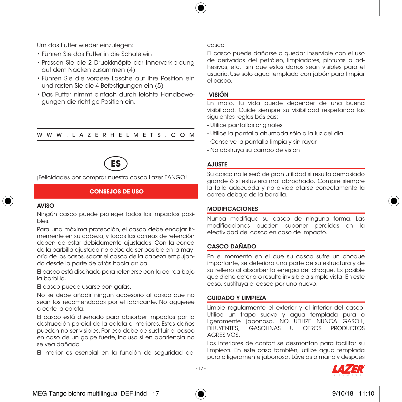

## Um das Futter wieder einzulegen:

- Führen Sie das Futter in die Schale ein
- Pressen Sie die 2 Druckknöpfe der Innerverkleidung auf dem Nacken zusammen (4)
- Führen Sie die vordere Lasche auf ihre Position ein und rasten Sie die 4 Befestigungen ein (5)
- Das Futter nimmt einfach durch leichte Handbewegungen die richtige Position ein.

## WWW.LAZERHELMETS.COM



¡Felicidades por comprar nuestro casco Lazer TANGO!

#### **CONSEJOS DE USO**

#### AVISO

Ningún casco puede proteger todos los impactos posibles.

Para una máxima protección, el casco debe encajar firmemente en su cabeza, y todas las correas de retención deben de estar debidamente ajustadas. Con la correa de la barbilla ajustada no debe de ser posible en la mayoría de los casos, sacar el casco de la cabeza empujando desde la parte de atrás hacia arriba.

El casco está diseñado para retenerse con la correa bajo la barbilla.

El casco puede usarse con gafas.

No se debe añadir ningún accesorio al casco que no sean los recomendados por el fabricante. No agujeree o corte la calota.

El casco está diseñado para absorber impactos por la destrucción parcial de la calota e interiores. Estos daños pueden no ser visibles. Por eso debe de sustituir el casco en caso de un golpe fuerte, incluso si en apariencia no se vea dañado.

El interior es esencial en la función de seguridad del

#### casco.

El casco puede dañarse o quedar inservible con el uso de derivados del petróleo, limpiadores, pinturas o adhesivos, etc, sin que estos daños sean visibles para el usuario. Use solo agua templada con jabón para limpiar el casco.

## VISIÓN

En moto, tu vida puede depender de una buena visibilidad. Cuide siempre su visibilidad respetando las siguientes reglas básicas:

- Utilice pantallas originales
- Utilice la pantalla ahumada sólo a la luz del día
- Conserve la pantalla limpia y sin rayar
- No obstruya su campo de visión

#### AJUSTE

Su casco no le será de gran utilidad si resulta demasiado grande ó si estuviera mal abrochado. Compre siempre la talla adecuada y no olvide atarse correctamente la correa debajo de la barbilla.

#### MODIFICACIONES

Nunca modifique su casco de ninguna forma. Las modificaciones pueden suponer perdidas en la efectividad del casco en caso de impacto.

## CASCO DAÑADO

En el momento en el que su casco sufre un choque importante, se deteriora una parte de su estructura y de su relleno al absorber la energía del choque. Es posible que dicho deterioro resulte invisible a simple vista. En este caso, sustituya el casco por uno nuevo.

#### CUIDADO Y LIMPIEZA

Limpie regularmente el exterior y el interior del casco. Utilice un trapo suave y agua templada pura o ligeramente jabonosa. NO UTILIZE NUNCA GASOIL,<br>DILUYENTES, GASOLINAS U OTROS PRODUCTOS GASOLINAS U OTROS PRODUCTOS AGRESIVOS.

Los interiores de confort se desmontan para facilitar su limpieza. En este caso también, utilize agua templada pura o ligeramente jabonosa. Lávelas a mano y después





- 17 -

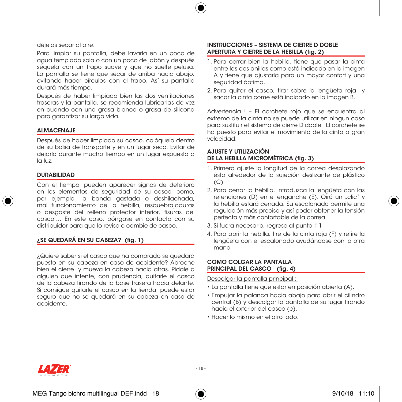

déjelas secar al aire.

Para limpiar su pantalla, debe lavarla en un poco de agua templada sola o con un poco de jabón y después séquela con un trapo suave y que no suelte pelusa. La pantalla se tiene que secar de arriba hacia abajo, evitando hacer círculos con el trapo. Así su pantalla durará más tiempo.

Después de haber limpiado bien las dos ventilaciones traseras y la pantalla, se recomienda lubricarlas de vez en cuando con una grasa blanca o grasa de silicona para garantizar su larga vida.

#### ALMACENAJE

Después de haber limpiado su casco, colóquelo dentro de su bolsa de transporte y en un lugar seco. Evitar de dejarlo durante mucho tiempo en un lugar expuesto a la luz.

#### DURABILIDAD

Con el tiempo, pueden aparecer signos de deterioro en los elementos de seguridad de su casco, como, por ejemplo, la banda gastada o deshilachada, mal funcionamiento de la hebilla, resquebrajaduras o desgaste del relleno protector interior, fisuras del casco,… En este caso, póngase en contacto con su distribuidor para que lo revise o cambie de casco.

#### ¿SE QUEDARÁ EN SU CABEZA? (fig. 1)

¿Quiere saber si el casco que ha comprado se quedará puesto en su cabeza en caso de accidente? Abroche bien el cierre y mueva la cabeza hacia atras. Pídale a alguien que intente, con prudencia, quitarle el casco de la cabeza tirando de la base trasera hacia delante. Si consigue quitarle el casco en la tienda, puede estar seguro que no se quedará en su cabeza en caso de accidente.

#### INSTRUCCIONES – SISTEMA DE CIERRE D DOBLE APERTURA Y CIERRE DE LA HEBILLA (fig. 2)

- 1. Para cerrar bien la hebilla, tiene que pasar la cinta entre las dos anillas como está indicado en la imagen A y tiene que ajustarla para un mayor confort y una seguridad óptima.
- 2. Para quitar el casco, tirar sobre la lengüeta roja y sacar la cinta come está indicado en la imagen B.

Advertencia ! – El corchete rojo que se encuentra al extremo de la cinta no se puede utilizar en ningun caso para sustituir el sistema de cierre D doble. El corchete se ha puesto para evitar el movimiento de la cinta a gran velocidad.

#### AJUSTE Y UTILIZACIÓN DE LA HEBILLA MICROMÉTRICA (fig. 3)

- 1. Primero ajuste la longitud de la correa desplazando ésta alrededor de la sujeción deslizante de plástico  $(C)$
- 2. Para cerrar la hebilla, introduzca la lengüeta con las retenciones (D) en el enganche (E). Oirá un "clic" y la hebilla estará cerrada. Su escalonado permite una regulación más precisa y así poder obtener la tensión perfecta y más confortable de la correa
- 3. Si fuera necesario, regrese al punto # 1
- 4. Para abrir la hebilla, tire de la cinta roja (F) y retire la lengüeta con el escalonado ayudándose con la otra mano

#### COMO COLGAR LA PANTALLA PRINCIPAL DEL CASCO (fig. 4)

Descolgar la pantalla principal :

- La pantalla tiene que estar en posición abierta (A).
- Empujar la palanca hacia abajo para abrir el cilindro central (B) y descolgar la pantalla de su lugar tirando hacia el exterior del casco (c).
- Hacer lo mismo en el otro lado.



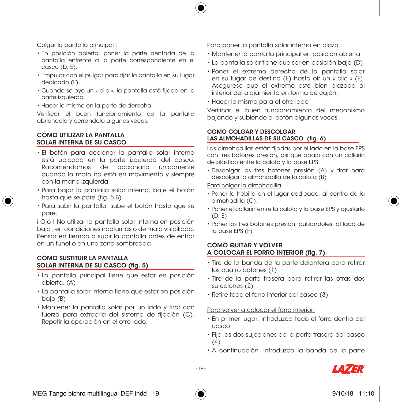

## Colgar la pantalla principal :

- En posición abierta, poner la parte dentada de la pantalla enfrente a la parte correspondiente en el casco (D, E).
- Empujar con el pulgar para fijar la pantalla en su lugar dedicado (F).
- Cuando se oye un « clic », la pantalla está fijada en la parte izquierda.
- Hacer lo mismo en la parte de derecha.

Verificar el buen funcionamiento de la pantalla abriendola y cerrandola algunas veces.

## CÓMO UTILIZAR LA PANTALLA SOLAR INTERNA DE SU CASCO

- El botón para accionar la pantalla solar interna está ubicado en la parte izquierda del casco. Racomendamos de accionarlo unicamente quando la moto no está en movimiento y siempre con la mano izquierda.
- Para bajar la pantalla solar interna, baje el botón hasta que se pare (fig. 5 B).
- Para subir la pantalla, sube el botón hasta que se pare.

i Ojo ! No utilizar la pantalla solar interna en posición baja ; en condiciones nocturnas o de mala visibilidad. Pensar en tiempo a subir la pantalla antes de entrar en un tunel o en una zona sombreada

## CÓMO SUSTITUIR LA PANTALLA SOLAR INTERNA DE SU CASCO (fig. 5)

- La pantalla principal tiene que estar en posición abierta. (A)
- La pantalla solar interna tiene que estar en posición baja (B)
- Mantener la pantalla solar por un lado y tirar con fuerza para extraerla del sistema de fijación (C). Repetir la operación en el otro lado.

## Para poner la pantalla solar interna en plaza :

- Mantener la pantalla principal en posición abierta
- La pantalla solar tiene que ser en posición baja (D).
- Poner el extremo derecho de la pantalla solar en su lugar de destino (E) hasta oir un « clic » (F). Asegurese que el extremo este bien plazado al interior del alojamiento en forma de cajón.
- Hacer lo mismo para el otro lado

Verificar el buen funcionamiento del mecanismo bajando y subiendo el botón algunas veces.

## COMO COLGAR Y DESCOLGAR LAS ALMOHADILLAS DE SU CASCO (fig. 6)

Las almohadillas están fijadas por el lado en la base EPS con tres botones presión, asi que abajo con un collarín de plástico entre la calota y la base EPS

• Descolgar los tres botones presión (A) y tirar para descolgar la almohadilla de la calota (B)

## Para colgar la almohadilla

- Poner la hebilla en el lugar dedicado, al centro de la almohadilla (C).
- Poner el collarín entre la calota y la base EPS y ajustarlo  $(D, F)$
- Poner los tres botones presión, pulsandoles, al lado de la base EPS (F)

## CÓMO QUITAR Y VOLVER A COLOCAR EL FORRO INTERIOR (fig. 7)

- Tire de la banda de la parte delantera para retirar los cuatro botones (1)
- Tire de la parte trasera para retirar las otras dos sujeciones (2)
- Retire todo el forro interior del casco (3)

## Para volver a colocar el forro interior:

- En primer lugar, introduzca todo el forro dentro del casco
- Fije las dos sujeciones de la parte trasera del casco  $(4)$
- A continuación, introduzca la banda de la parte





- 19 -

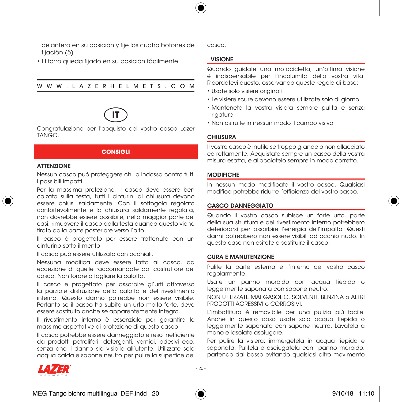

delantera en su posición y fije los cuatro botones de fijación (5)

• El forro queda fijado en su posición fácilmente

WWW.LAZERHELMETS.COM



Congratulazione per l'acquisto del vostro casco Lazer TANGO.

#### **CONSIGLI**

## **ATTENZIONE**

Nessun casco può proteggere chi lo indossa contro tutti i possibili impatti.

Per la massima protezione, il casco deve essere ben calzato sulla testa, tutti I cinturini di chiusura devono essere chiusi saldamente. Con il sottogola regolato confortevolmente e la chiusura saldamente regolata, non dovrebbe essere possibile, nella maggior parte dei casi, rimuovere il casco dalla testa quando questo viene tirato dalla parte posteriore verso l'alto.

Il casco è progettato per essere trattenuto con un cinturino sotto il mento.

Il casco può essere utilizzato con occhiali.

Nessuna modifica deve essere fatta al casco, ad eccezione di quelle raccomandate dal costruttore del casco. Non forare o tagliare la calotta.

Il casco e progettato per assorbire gl'urti attraverso la parziale distruzione della calotta e del rivestimento interno. Questo danno potrebbe non essere visibile. Pertanto se il casco ha subito un urto molto forte, deve essere sostituito anche se apparentemente integro.

Il rivestimento interno è essenziale per garantire le massime aspettative di protezione di questo casco.

Il casco potrebbe essere danneggiato e reso inefficiente da prodotti petroliferi, detergenti, vernici, adesivi ecc. senza che il danno sia visibile all'utente. Utilizzate solo acqua calda e sapone neutro per pulire la superfice del casco.

#### VISIONE

Quando guidate una motocicletta, un'ottima visione è indispensabile per l'incolumità della vostra vita. Ricordatevi questo, osservando queste regole di base:

- Usate solo visiere originali
- Le visiere scure devono essere utilizzate solo di giorno
- Mantenete la vostra visiera sempre pulita e senza rigature
- Non ostruite in nessun modo il campo visivo

#### CHIUSURA

Il vostro casco è inutile se troppo grande o non allacciato correttamente. Acquistate sempre un casco della vostra misura esatta, e allacciatelo sempre in modo corretto.

#### **MODIFICHE**

In nessun modo modificate il vostro casco. Qualsiasi modifica potrebbe ridurre l'efficienza del vostro casco.

#### CASCO DANNEGGIATO

Quando il vostro casco subisce un forte urto, parte della sua struttura e del rivestimento interno potrebbero deteriorarsi per assorbire l'energia dell'impatto. Questi danni potrebbero non essere visibili ad occhio nudo. In questo caso non esitate a sostituire il casco.

#### CURA E MANUTENZIONE

Pulite la parte esterna e l'interno del vostro casco regolarmente.

Usate un panno morbido con acqua tiepida o leggermente saponata con sapone neutro.

NON UTILIZZATE MAI GASOLIO, SOLVENTI, BENZINA o ALTRI PRODOTTI AGRESSIVI o CORROSIVI.

L'imbottitura è removibile per una pulizia più facile. Anche in questo caso usate solo acqua tiepida o leggermente saponata con sapone neutro. Lavatela a mano e lasciate asciugare.

Per pulire la visiera: immergetela in acqua tiepida e saponata. Pulitela e asciugatela con panno morbido, partendo dal basso evitando qualsiasi altro movimento



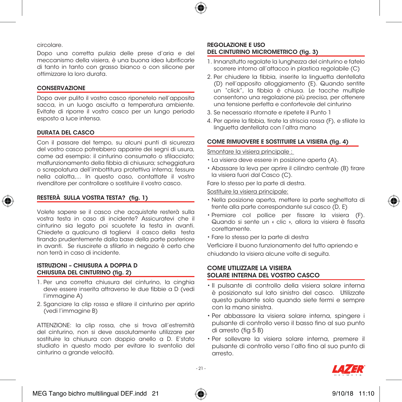

#### circolare.

Dopo una corretta pulizia delle prese d'aria e del meccanismo della visiera, è una buona idea lubrificarle di tanto in tanto con grasso bianco o con silicone per ottimizzare la loro durata.

#### CONSERVAZIONE

Dopo aver pulito il vostro casco riponetelo nell'apposita sacca, in un luogo asciutto a temperatura ambiente. Evitate di riporre il vostro casco per un lungo periodo esposto a luce intensa.

#### DURATA DEL CASCO

Con il passare del tempo, su alcuni punti di sicurezza del vostro casco potrebbero apparire dei segni di usura, come ad esempio: il cinturino consumato o sfilacciato; malfunzionamento della fibbia di chiusura; scheggiatura o screpolatura dell'imbottitura protettiva interna; fessure nella calotta,... In questo caso, contattate il vostro rivenditore per controllare o sostituire il vostro casco.

## RESTERÀ SULLA VOSTRA TESTA? (fig. 1)

Volete sapere se il casco che acquistate resterà sulla vostra testa in caso di incidente? Assicuratevi che il cinturino sia legato poi scuotete la testa in avanti. Chiedete a qualcuno di togliervi il casco della testa tirando prudentemente dalla base della parte posteriore in avanti. Se riuscirete a sfilarlo in negozio è certo che non terrà in caso di incidente.

#### ISTRUZIONI – CHIUSURA A DOPPIA D CHIUSURA DEL CINTURINO (fig. 2)

- 1. Per una corretta chiusura del cinturino, la cinghia deve essere inserita attraverso le due fibbie a D (vedi l'immagine A)
- 2. Sganciare la clip rossa e sfilare il cinturino per aprirlo (vedi l'immagine B)

ATTENZIONE: la clip rossa, che si trova all'estremità del cinturino, non si deve assolutamente utilizzare per sostituire la chiusura con doppio anello a D. E'stato studiato in questo modo per evitare lo sventolio del cinturino a grande velocità.

#### REGOLAZIONE E USO DEL CINTURINO MICROMETRICO (fig. 3)

- 1. Innanzitutto regolate la lunghezza del cinturino e fatelo scorrere intorno all'attacco in plastica regolabile (C)
- 2. Per chiudere la fibbia, inserite la linguetta dentellata (D) nell'apposito alloggiamento (E). Quando sentite un "click", la fibbia è chiusa. Le tacche multiple consentono una regolazione più precisa, per ottenere una tensione perfetta e confortevole del cinturino
- 3. Se necessario ritornate e ripetete il Punto 1
- 4. Per aprire la fibbia, tirate la striscia rossa (F), e sfilate la linguetta dentellata con l'altra mano

#### COME RIMUOVERE E SOSTITUIRE LA VISIERA (fig. 4)

#### Smontare la visiera principale :

- La visiera deve essere in posizione aperta (A).
- Abassare la leva per aprire il cilindro centrale (B) tirare la visiera fuori dal Casco (C).

Fare lo stesso per la parte di destra.

#### Sostituire la visiera principale:

- Nella posizione aperta, mettere la parte seghettata di frente alla parte correspondante sul casco (D, E)
- Premiare col pollice per fissare la visiera (F). Quando si sente un « clic », allora la visiera è fissata corettamente.
- Fare lo stesso per la parte di destra

Verficiare il buono funzionamento del tutto apriendo e chiudando la visiera alcune volte di seguita.

#### COME UTILIZZARE LA VISIERA SOLARE INTERNA DEL VOSTRO CASCO

- Il pulsante di controllo della visiera solare interna è posizionato sul lato sinistro del casco. Utilizzate questo pulsante solo quando siete fermi e sempre con la mano sinistra.
- Per abbassare la visiera solare interna, spingere i pulsante di controllo verso il basso fino al suo punto di arresto (fig 5 B)
- Per sollevare la visiera solare interna, premere il pulsante di controllo verso l'alto fino al suo punto di arresto.



 $221$ 

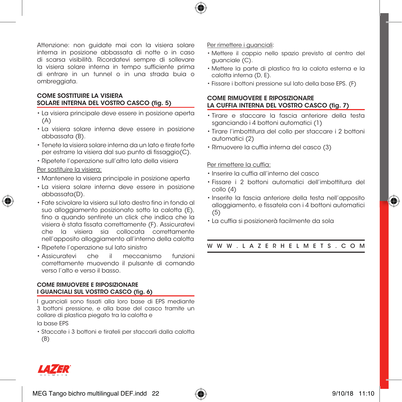

Attenzione: non guidate mai con la visiera solare interna in posizione abbassata di notte o in caso di scarsa visibilità. Ricordatevi sempre di sollevare la visiera solare interna in tempo sufficiente prima di entrare in un tunnel o in una strada buia o ombreggiata.

## COME SOSTITUIRE LA VISIERA SOLARE INTERNA DEL VOSTRO CASCO (fig. 5)

- La visiera principale deve essere in posizione aperta (A)
- La visiera solare interna deve essere in posizione abbassata (B).
- Tenete la visiera solare interna da un lato e tirate forte per estrarre la visiera dal suo punto di fissaggio(C).
- Ripetete l'operazione sull'altro lato della visiera

#### Per sostituire la visiera:

- Mantenere la visiera principale in posizione aperta
- La visiera solare interna deve essere in posizione abbassata(D).
- Fate scivolare la visiera sul lato destro fino in fondo al suo alloggiamento posizionato sotto la calotta (E), fino a quando sentirete un click che indica che la visiera è stata fissata correttamente (F). Assicuratevi che la visiera sia collocata correttamente nell'apposito alloggiamento all'interno della calotta
- Ripetete l'operazione sul lato sinistro
- Assicuratevi che il meccanismo funzioni correttamente muovendo il pulsante di comando verso l'alto e verso il basso.

#### COME RIMUOVERE E RIPOSIZIONARE I GUANCIALI SUL VOSTRO CASCO (fig. 6)

I guanciali sono fissati alla loro base di EPS mediante 3 bottoni pressione, e alla base del casco tramite un collare di plastica piegato tra la calotta e

la base EPS

• Staccate i 3 bottoni e tirateli per staccarli dalla calotta (B)

#### Per rimettere i guanciali:

- Mettere il cappio nello spazio previsto al centro del guanciale (C).
- Mettere la parte di plastico fra la calota esterna e la calotta interna (D, E).
- Fissare i bottoni pressione sul lato della base EPS. (F)

## COME RIMUOVERE E RIPOSIZIONARE LA CUFFIA INTERNA DEL VOSTRO CASCO (fig. 7)

- Tirare e staccare la fascia anteriore della testa sganciando i 4 bottoni automatici (1)
- Tirare l'imbottitura del collo per staccare i 2 bottoni automatici (2)
- Rimuovere la cuffia interna del casco (3)

#### Per rimettere la cuffia:

- Inserire la cuffia all'interno del casco
- Fissare i 2 bottoni automatici dell'imbottitura del collo (4)
- Inserite la fascia anteriore della testa nell'apposito alloggiamento, e fissatela con i 4 bottoni automatici (5)
- La cuffia si posizionerà facilmente da sola

WWW.LAZERHELMETS.COM



⊕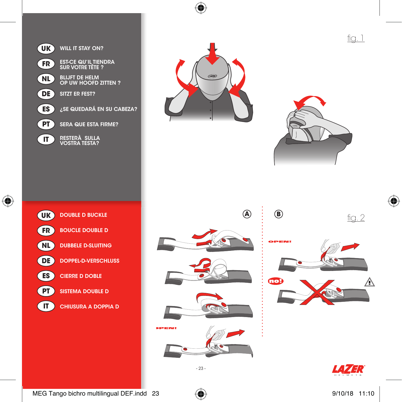



⊕



fig. 1

 $\bigoplus$ 



| <b>DOUBLE D BUCKLE</b><br><b>UK</b>    | (A | Œ  |
|----------------------------------------|----|----|
| <b>BOUCLE DOUBLE D</b><br>FR           |    |    |
| <b>DUBBELE D-SLUITING</b><br><b>NL</b> |    |    |
| <b>DOPPEL-D-VERSCHLUSS</b><br>DE       |    |    |
| ES<br><b>CIERRE D DOBLE</b>            |    | no |
| <b>SISTEMA DOUBLE D</b><br><b>PT</b>   |    |    |
| <b>CHIUSURA A DOPPIA D</b>             |    |    |











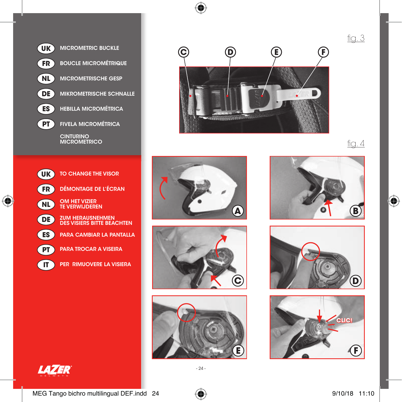







⊕





 $fig.4$ 

⊕

fig. 3







 $\bigoplus$ 



- 24 -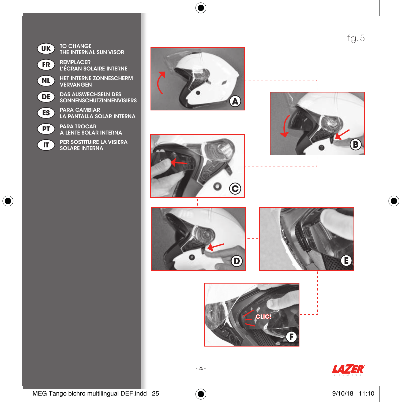

 $\bigoplus$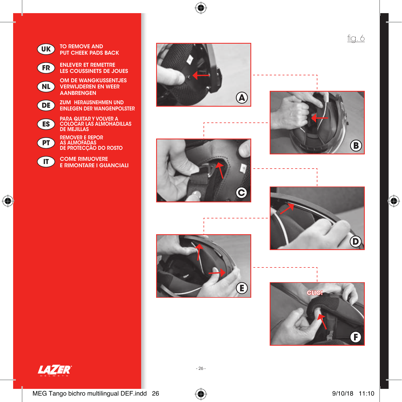

MEG Tango bichro multilingual DEF.indd 26  $\bigoplus$  9/10/18 11:10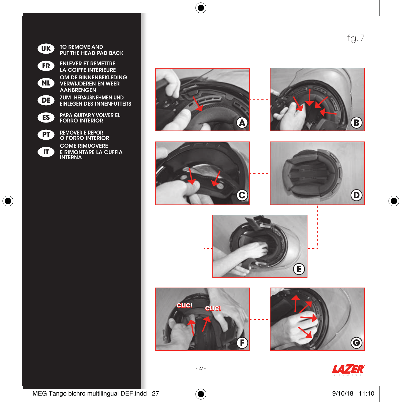